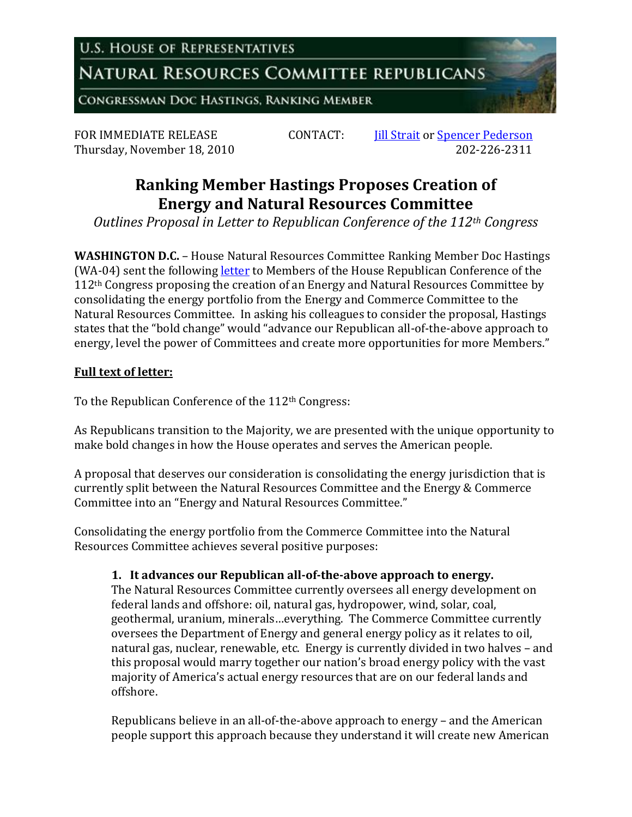**U.S. HOUSE OF REPRESENTATIVES** 

NATURAL RESOURCES COMMITTEE REPUBLICANS

**CONGRESSMAN DOC HASTINGS, RANKING MEMBER** 

Thursday, November 18, 2010

FOR IMMEDIATE RELEASE CONTACT: *Iill Strait* or <u>Spencer Pederson</u><br>Thursday. November 18, 2010 202-226-2311

## **Ranking Member Hastings Proposes Creation of Energy and Natural Resources Committee**

*Outlines Proposal in Letter to Republican Conference of the 112th Congress*

**WASHINGTON D.C.** – House Natural Resources Committee Ranking Member Doc Hastings (WA-04) sent the following [letter](http://republicans.resourcescommittee.house.gov/UploadedFiles/HastingsLtrTo112Congress-111810.pdf) to Members of the House Republican Conference of the 112th Congress proposing the creation of an Energy and Natural Resources Committee by consolidating the energy portfolio from the Energy and Commerce Committee to the Natural Resources Committee. In asking his colleagues to consider the proposal, Hastings states that the "bold change" would "advance our Republican all-of-the-above approach to energy, level the power of Committees and create more opportunities for more Members."

## **Full text of letter:**

To the Republican Conference of the 112<sup>th</sup> Congress:

As Republicans transition to the Majority, we are presented with the unique opportunity to make bold changes in how the House operates and serves the American people.

A proposal that deserves our consideration is consolidating the energy jurisdiction that is currently split between the Natural Resources Committee and the Energy & Commerce Committee into an "Energy and Natural Resources Committee."

Consolidating the energy portfolio from the Commerce Committee into the Natural Resources Committee achieves several positive purposes:

## **1. It advances our Republican all-of-the-above approach to energy.**

The Natural Resources Committee currently oversees all energy development on federal lands and offshore: oil, natural gas, hydropower, wind, solar, coal, geothermal, uranium, minerals…everything. The Commerce Committee currently oversees the Department of Energy and general energy policy as it relates to oil, natural gas, nuclear, renewable, etc. Energy is currently divided in two halves – and this proposal would marry together our nation's broad energy policy with the vast majority of America's actual energy resources that are on our federal lands and offshore.

Republicans believe in an all-of-the-above approach to energy – and the American people support this approach because they understand it will create new American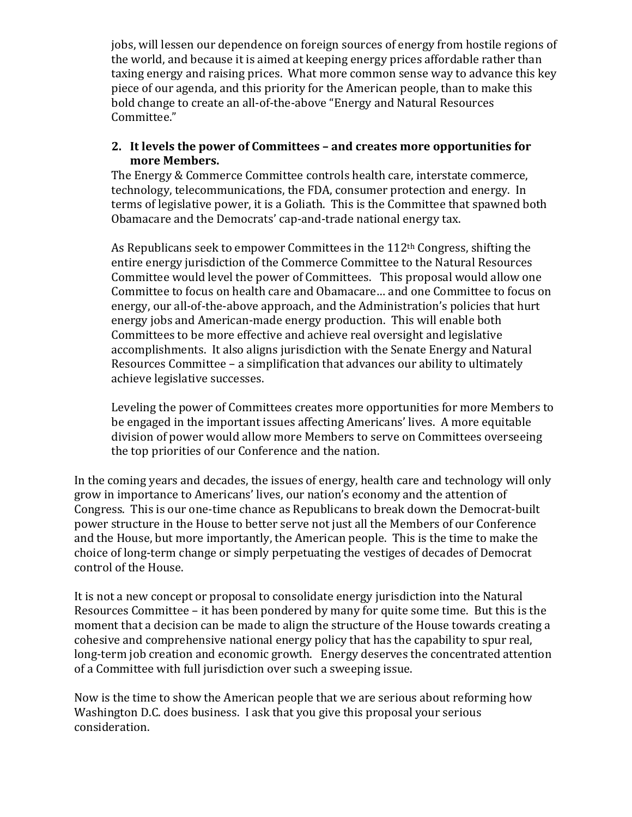jobs, will lessen our dependence on foreign sources of energy from hostile regions of the world, and because it is aimed at keeping energy prices affordable rather than taxing energy and raising prices. What more common sense way to advance this key piece of our agenda, and this priority for the American people, than to make this bold change to create an all-of-the-above "Energy and Natural Resources Committee."

## **2. It levels the power of Committees – and creates more opportunities for more Members.**

The Energy & Commerce Committee controls health care, interstate commerce, technology, telecommunications, the FDA, consumer protection and energy. In terms of legislative power, it is a Goliath. This is the Committee that spawned both Obamacare and the Democrats' cap-and-trade national energy tax.

As Republicans seek to empower Committees in the 112<sup>th</sup> Congress, shifting the entire energy jurisdiction of the Commerce Committee to the Natural Resources Committee would level the power of Committees. This proposal would allow one Committee to focus on health care and Obamacare… and one Committee to focus on energy, our all-of-the-above approach, and the Administration's policies that hurt energy jobs and American-made energy production. This will enable both Committees to be more effective and achieve real oversight and legislative accomplishments. It also aligns jurisdiction with the Senate Energy and Natural Resources Committee – a simplification that advances our ability to ultimately achieve legislative successes.

Leveling the power of Committees creates more opportunities for more Members to be engaged in the important issues affecting Americans' lives. A more equitable division of power would allow more Members to serve on Committees overseeing the top priorities of our Conference and the nation.

In the coming years and decades, the issues of energy, health care and technology will only grow in importance to Americans' lives, our nation's economy and the attention of Congress. This is our one-time chance as Republicans to break down the Democrat-built power structure in the House to better serve not just all the Members of our Conference and the House, but more importantly, the American people. This is the time to make the choice of long-term change or simply perpetuating the vestiges of decades of Democrat control of the House.

It is not a new concept or proposal to consolidate energy jurisdiction into the Natural Resources Committee – it has been pondered by many for quite some time. But this is the moment that a decision can be made to align the structure of the House towards creating a cohesive and comprehensive national energy policy that has the capability to spur real, long-term job creation and economic growth. Energy deserves the concentrated attention of a Committee with full jurisdiction over such a sweeping issue.

Now is the time to show the American people that we are serious about reforming how Washington D.C. does business. I ask that you give this proposal your serious consideration.